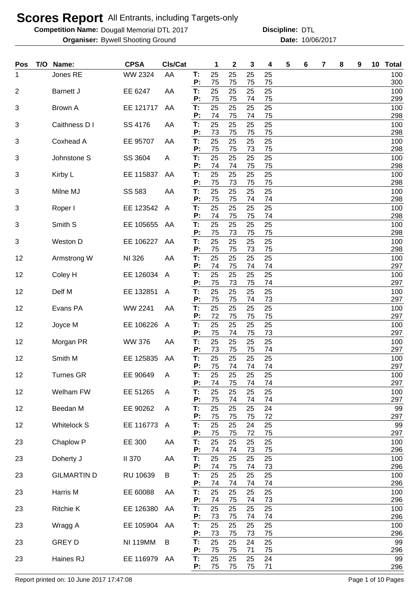**Competition Name: Dougall Memorial DTL 2017 https://www.powerflamericalCommunity Discipline: DTL** 

**Organiser:** Bywell Shooting Ground **10/06/2017 Date:** 10/06/2017 **Discipline:**

| <b>Pos</b>     | T/O | Name:              | <b>CPSA</b>     | Cls/Cat      |          | 1        | 2        | 3        | 4        | 5 | 6 | 7 | 8 | 9 | 10 Total   |
|----------------|-----|--------------------|-----------------|--------------|----------|----------|----------|----------|----------|---|---|---|---|---|------------|
| 1              |     | Jones RE           | <b>WW 2324</b>  | AA           | Т:<br>P: | 25<br>75 | 25<br>75 | 25<br>75 | 25<br>75 |   |   |   |   |   | 100<br>300 |
| $\overline{2}$ |     | <b>Barnett J</b>   | EE 6247         | AA           | T:       | 25       | 25       | 25       | 25       |   |   |   |   |   | 100        |
| 3              |     | <b>Brown A</b>     | EE 121717       | AA           | P:<br>T: | 75<br>25 | 75<br>25 | 74<br>25 | 75<br>25 |   |   |   |   |   | 299<br>100 |
| 3              |     | Caithness D I      | SS 4176         | AA           | P:<br>T: | 74<br>25 | 75<br>25 | 74<br>25 | 75<br>25 |   |   |   |   |   | 298<br>100 |
|                |     |                    |                 |              | P:       | 73       | 75       | 75       | 75       |   |   |   |   |   | 298        |
| 3              |     | Coxhead A          | EE 95707        | AA           | T:<br>P: | 25<br>75 | 25<br>75 | 25<br>73 | 25<br>75 |   |   |   |   |   | 100<br>298 |
| 3              |     | Johnstone S        | SS 3604         | A            | T:<br>P: | 25<br>74 | 25<br>74 | 25<br>75 | 25<br>75 |   |   |   |   |   | 100<br>298 |
| 3              |     | Kirby L            | EE 115837       | AA           | T:       | 25       | 25       | 25       | 25       |   |   |   |   |   | 100        |
| 3              |     | Milne MJ           | SS 583          | AA           | P:<br>T: | 75<br>25 | 73<br>25 | 75<br>25 | 75<br>25 |   |   |   |   |   | 298<br>100 |
| 3              |     | Roper I            | EE 123542       | $\mathsf{A}$ | P:<br>T: | 75<br>25 | 75<br>25 | 74<br>25 | 74<br>25 |   |   |   |   |   | 298<br>100 |
|                |     |                    |                 |              | P:       | 74       | 75       | 75       | 74       |   |   |   |   |   | 298        |
| 3              |     | Smith S            | EE 105655       | AA           | T:<br>P: | 25<br>75 | 25<br>73 | 25<br>75 | 25<br>75 |   |   |   |   |   | 100<br>298 |
| 3              |     | Weston D           | EE 106227       | AA           | T:<br>P: | 25<br>75 | 25<br>75 | 25<br>73 | 25<br>75 |   |   |   |   |   | 100<br>298 |
| 12             |     | Armstrong W        | NI 326          | AA           | T:       | 25       | 25       | 25       | 25       |   |   |   |   |   | 100        |
| 12             |     | Coley H            | EE 126034       | A            | P:<br>Т: | 74<br>25 | 75<br>25 | 74<br>25 | 74<br>25 |   |   |   |   |   | 297<br>100 |
| 12             |     | Delf M             | EE 132851       | A            | P:<br>Т: | 75<br>25 | 73<br>25 | 75<br>25 | 74<br>25 |   |   |   |   |   | 297<br>100 |
|                |     |                    |                 |              | P:       | 75       | 75       | 74       | 73       |   |   |   |   |   | 297        |
| 12             |     | Evans PA           | <b>WW 2241</b>  | AA           | T:<br>P: | 25<br>72 | 25<br>75 | 25<br>75 | 25<br>75 |   |   |   |   |   | 100<br>297 |
| 12             |     | Joyce M            | EE 106226       | A            | T:       | 25       | 25<br>74 | 25       | 25       |   |   |   |   |   | 100        |
| 12             |     | Morgan PR          | <b>WW 376</b>   | AA           | P:<br>T: | 75<br>25 | 25       | 75<br>25 | 73<br>25 |   |   |   |   |   | 297<br>100 |
| 12             |     | Smith M            | EE 125835       | AA           | P:<br>T: | 73<br>25 | 75<br>25 | 75<br>25 | 74<br>25 |   |   |   |   |   | 297<br>100 |
|                |     |                    |                 |              | P:       | 75       | 74       | 74       | 74       |   |   |   |   |   | 297        |
| 12             |     | <b>Turnes GR</b>   | EE 90649        | Α            | Т:<br>P: | 25<br>74 | 25<br>75 | 25<br>74 | 25<br>74 |   |   |   |   |   | 100<br>297 |
| 12             |     | Welham FW          | EE 51265        | A            | T:<br>P: | 25<br>75 | 25<br>74 | 25<br>74 | 25<br>74 |   |   |   |   |   | 100<br>297 |
| 12             |     | Beedan M           | EE 90262        | A            | Τ.       | 25       | 25       | 25       | 24       |   |   |   |   |   | 99         |
| 12             |     | <b>Whitelock S</b> | EE 116773       | A            | P:<br>Τ. | 75<br>25 | 75<br>25 | 75<br>24 | 72<br>25 |   |   |   |   |   | 297<br>99  |
|                |     |                    |                 |              | P:       | 75       | 75       | 72       | 75       |   |   |   |   |   | 297        |
| 23             |     | Chaplow P          | EE 300          | AA           | Т.<br>P: | 25<br>74 | 25<br>74 | 25<br>73 | 25<br>75 |   |   |   |   |   | 100<br>296 |
| 23             |     | Doherty J          | <b>II 370</b>   | AA           | T:<br>P: | 25<br>74 | 25<br>75 | 25<br>74 | 25<br>73 |   |   |   |   |   | 100<br>296 |
| 23             |     | <b>GILMARTIN D</b> | RU 10639        | B            | T:       | 25       | 25       | 25       | 25       |   |   |   |   |   | 100        |
| 23             |     | Harris M           | EE 60088        | AA           | P:<br>T: | 74<br>25 | 74<br>25 | 74<br>25 | 74<br>25 |   |   |   |   |   | 296<br>100 |
| 23             |     | <b>Ritchie K</b>   | EE 126380       | AA           | P:<br>Τ. | 74<br>25 | 75<br>25 | 74<br>25 | 73<br>25 |   |   |   |   |   | 296<br>100 |
|                |     |                    |                 |              | P:       | 73       | 75       | 74       | 74       |   |   |   |   |   | 296        |
| 23             |     | Wragg A            | EE 105904       | AA           | Т.<br>P: | 25<br>73 | 25<br>75 | 25<br>73 | 25<br>75 |   |   |   |   |   | 100<br>296 |
| 23             |     | <b>GREY D</b>      | <b>NI 119MM</b> | B            | T:<br>P: | 25<br>75 | 25<br>75 | 24<br>71 | 25<br>75 |   |   |   |   |   | 99<br>296  |
| 23             |     | Haines RJ          | EE 116979 AA    |              | T:       | 25       | 25       | 25       | 24       |   |   |   |   |   | 99         |
|                |     |                    |                 |              | P:       | 75       | 75       | 75       | 71       |   |   |   |   |   | 296        |

Report printed on: 10 June 2017 17:47:08 Page 1 of 10 Pages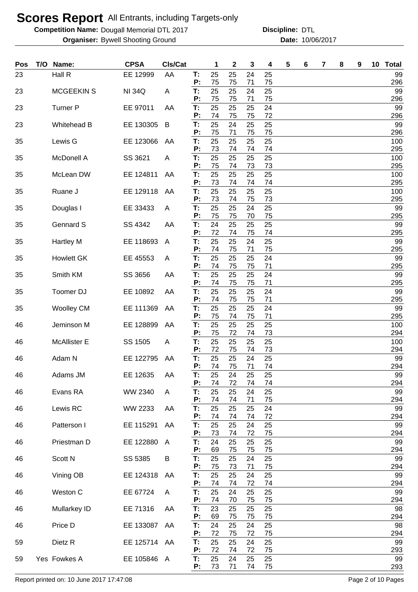**Competition Name: Dougall Memorial DTL 2017 https://www.powerflamericalCommunity Discipline: DTL** 

**Organiser:** Bywell Shooting Ground **10/06/2017 Date:** 10/06/2017 **Discipline:**

| Pos | T/O | Name:               | <b>CPSA</b>   | Cls/Cat |          | 1        | $\mathbf 2$ | 3        | 4        | 5 | 6 | 7 | 8 | 9 | 10 Total   |
|-----|-----|---------------------|---------------|---------|----------|----------|-------------|----------|----------|---|---|---|---|---|------------|
| 23  |     | Hall R              | EE 12999      | AA      | T:<br>P: | 25<br>75 | 25<br>75    | 24<br>71 | 25<br>75 |   |   |   |   |   | 99<br>296  |
| 23  |     | <b>MCGEEKIN S</b>   | <b>NI 34Q</b> | Α       | T:       | 25       | 25          | 24       | 25       |   |   |   |   |   | 99         |
| 23  |     | <b>Turner P</b>     | EE 97011      | AA      | P:<br>Т. | 75<br>25 | 75<br>25    | 71<br>25 | 75<br>24 |   |   |   |   |   | 296<br>99  |
|     |     |                     |               |         | P:       | 74       | 75          | 75       | 72       |   |   |   |   |   | 296        |
| 23  |     | Whitehead B         | EE 130305     | B       | T:<br>P: | 25<br>75 | 24<br>71    | 25<br>75 | 25<br>75 |   |   |   |   |   | 99<br>296  |
| 35  |     | Lewis G             | EE 123066     | AA      | T:<br>P: | 25<br>73 | 25<br>74    | 25<br>74 | 25<br>74 |   |   |   |   |   | 100<br>295 |
| 35  |     | <b>McDonell A</b>   | SS 3621       | A       | T:<br>P: | 25<br>75 | 25<br>74    | 25<br>73 | 25<br>73 |   |   |   |   |   | 100<br>295 |
| 35  |     | McLean DW           | EE 124811     | AA      | T:<br>P: | 25<br>73 | 25<br>74    | 25<br>74 | 25<br>74 |   |   |   |   |   | 100<br>295 |
| 35  |     | Ruane J             | EE 129118     | AA      | T:<br>P: | 25<br>73 | 25<br>74    | 25<br>75 | 25<br>73 |   |   |   |   |   | 100<br>295 |
| 35  |     | Douglas I           | EE 33433      | A       | T:<br>P: | 25<br>75 | 25<br>75    | 24<br>70 | 25<br>75 |   |   |   |   |   | 99<br>295  |
| 35  |     | <b>Gennard S</b>    | SS 4342       | AA      | T:<br>P: | 24<br>72 | 25<br>74    | 25<br>75 | 25<br>74 |   |   |   |   |   | 99<br>295  |
| 35  |     | <b>Hartley M</b>    | EE 118693     | A       | T:<br>P: | 25<br>74 | 25<br>75    | 24<br>71 | 25<br>75 |   |   |   |   |   | 99<br>295  |
| 35  |     | <b>Howlett GK</b>   | EE 45553      | A       | T:<br>P: | 25<br>74 | 25<br>75    | 25<br>75 | 24<br>71 |   |   |   |   |   | 99<br>295  |
| 35  |     | Smith KM            | SS 3656       | AA      | T:       | 25       | 25          | 25       | 24       |   |   |   |   |   | 99         |
| 35  |     | Toomer DJ           | EE 10892      | AA      | P:<br>T: | 74<br>25 | 75<br>25    | 75<br>25 | 71<br>24 |   |   |   |   |   | 295<br>99  |
|     |     |                     |               |         | P:       | 74       | 75          | 75       | 71       |   |   |   |   |   | 295        |
| 35  |     | <b>Woolley CM</b>   | EE 111369     | AA      | T:<br>P: | 25<br>75 | 25<br>74    | 25<br>75 | 24<br>71 |   |   |   |   |   | 99<br>295  |
| 46  |     | Jeminson M          | EE 128899     | AA      | T:<br>P: | 25<br>75 | 25<br>72    | 25<br>74 | 25<br>73 |   |   |   |   |   | 100<br>294 |
| 46  |     | <b>McAllister E</b> | SS 1505       | A       | T:       | 25       | 25          | 25       | 25       |   |   |   |   |   | 100        |
| 46  |     | Adam N              | EE 122795     | AA      | P:<br>T: | 72<br>25 | 75<br>25    | 74<br>24 | 73<br>25 |   |   |   |   |   | 294<br>99  |
|     |     |                     |               |         | P:       | 74       | 75          | 71       | 74       |   |   |   |   |   | 294        |
| 46  |     | Adams JM            | EE 12635      | AA      | Т:<br>P: | 25<br>74 | 24<br>72    | 25<br>74 | 25<br>74 |   |   |   |   |   | 99<br>294  |
| 46  |     | Evans RA            | WW 2340       | A       | T:<br>Ρ: | 25<br>74 | 25<br>74    | 24<br>71 | 25<br>75 |   |   |   |   |   | 99<br>294  |
| 46  |     | Lewis RC            | WW 2233       | AA      | T:       | 25       | 25          | 25       | 24       |   |   |   |   |   | 99         |
| 46  |     | Patterson I         | EE 115291     | AA      | P:<br>T: | 74<br>25 | 74<br>25    | 74<br>24 | 72<br>25 |   |   |   |   |   | 294<br>99  |
|     |     |                     |               |         | P:       | 73       | 74          | 72       | 75       |   |   |   |   |   | 294        |
| 46  |     | Priestman D         | EE 122880     | A       | T:<br>P: | 24<br>69 | 25<br>75    | 25<br>75 | 25<br>75 |   |   |   |   |   | 99<br>294  |
| 46  |     | Scott N             | SS 5385       | B       | T:<br>P: | 25<br>75 | 25<br>73    | 24<br>71 | 25<br>75 |   |   |   |   |   | 99<br>294  |
| 46  |     | Vining OB           | EE 124318     | AA      | T:<br>P: | 25<br>74 | 25<br>74    | 24<br>72 | 25<br>74 |   |   |   |   |   | 99<br>294  |
| 46  |     | Weston C            | EE 67724      | A       | T:<br>P: | 25<br>74 | 24<br>70    | 25<br>75 | 25<br>75 |   |   |   |   |   | 99<br>294  |
| 46  |     | Mullarkey ID        | EE 71316      | AA      | T:<br>P: | 23<br>69 | 25<br>75    | 25<br>75 | 25<br>75 |   |   |   |   |   | 98<br>294  |
| 46  |     | Price D             | EE 133087     | AA      | T:<br>P: | 24<br>72 | 25<br>75    | 24<br>72 | 25<br>75 |   |   |   |   |   | 98<br>294  |
| 59  |     | Dietz R             | EE 125714 AA  |         | Т.<br>P: | 25<br>72 | 25<br>74    | 24<br>72 | 25<br>75 |   |   |   |   |   | 99<br>293  |
| 59  |     | Yes Fowkes A        | EE 105846 A   |         | Т.<br>P: | 25<br>73 | 24<br>71    | 25<br>74 | 25<br>75 |   |   |   |   |   | 99<br>293  |

Report printed on: 10 June 2017 17:47:08 Page 2 of 10 Pages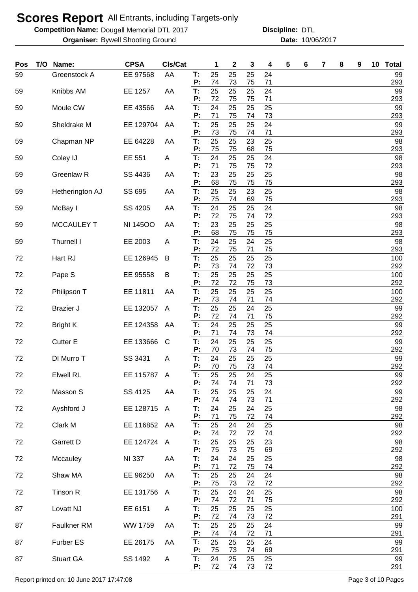**Competition Name: Dougall Memorial DTL 2017 https://www.powerflamericalCommunity Discipline: DTL** 

**Organiser:** Bywell Shooting Ground **10/06/2017 Date:** 10/06/2017 **Discipline:**

| Pos | T/O | Name:             | <b>CPSA</b>     | CIs/Cat        |          | 1        | $\boldsymbol{2}$ | 3        | 4        | 5 | 6 | 7 | 8 | 9 | 10 | <b>Total</b> |
|-----|-----|-------------------|-----------------|----------------|----------|----------|------------------|----------|----------|---|---|---|---|---|----|--------------|
| 59  |     | Greenstock A      | EE 97568        | AA             | T:<br>P: | 25<br>74 | 25<br>73         | 25<br>75 | 24<br>71 |   |   |   |   |   |    | 99<br>293    |
| 59  |     | Knibbs AM         | EE 1257         | AA             | T:       | 25       | 25               | 25       | 24       |   |   |   |   |   |    | 99           |
| 59  |     | Moule CW          | EE 43566        | AA             | P:<br>T: | 72<br>24 | 75<br>25         | 75<br>25 | 71<br>25 |   |   |   |   |   |    | 293<br>99    |
| 59  |     | Sheldrake M       | EE 129704       | AA             | P:<br>T: | 71<br>25 | 75<br>25         | 74<br>25 | 73<br>24 |   |   |   |   |   |    | 293<br>99    |
|     |     |                   |                 |                | P:       | 73       | 75               | 74       | 71       |   |   |   |   |   |    | 293          |
| 59  |     | Chapman NP        | EE 64228        | AA             | T:<br>P: | 25<br>75 | 25<br>75         | 23<br>68 | 25<br>75 |   |   |   |   |   |    | 98<br>293    |
| 59  |     | Coley IJ          | EE 551          | A              | T:<br>P: | 24<br>71 | 25<br>75         | 25<br>75 | 24<br>72 |   |   |   |   |   |    | 98<br>293    |
| 59  |     | Greenlaw R        | SS 4436         | AA             | T:       | 23       | 25               | 25       | 25       |   |   |   |   |   |    | 98           |
| 59  |     | Hetherington AJ   | SS 695          | AA             | P:<br>T: | 68<br>25 | 75<br>25         | 75<br>23 | 75<br>25 |   |   |   |   |   |    | 293<br>98    |
| 59  |     | McBay I           | SS 4205         | AA             | P:<br>T: | 75<br>24 | 74<br>25         | 69<br>25 | 75<br>24 |   |   |   |   |   |    | 293<br>98    |
|     |     |                   |                 |                | P:       | 72       | 75               | 74       | 72       |   |   |   |   |   |    | 293          |
| 59  |     | <b>MCCAULEY T</b> | <b>NI 14500</b> | AA             | T:<br>P: | 23<br>68 | 25<br>75         | 25<br>75 | 25<br>75 |   |   |   |   |   |    | 98<br>293    |
| 59  |     | Thurnell I        | EE 2003         | A              | T:<br>P: | 24<br>72 | 25<br>75         | 24<br>71 | 25<br>75 |   |   |   |   |   |    | 98<br>293    |
| 72  |     | Hart RJ           | EE 126945       | B              | T:       | 25       | 25               | 25       | 25       |   |   |   |   |   |    | 100          |
| 72  |     | Pape S            | EE 95558        | B              | P:<br>T: | 73<br>25 | 74<br>25         | 72<br>25 | 73<br>25 |   |   |   |   |   |    | 292<br>100   |
|     |     |                   |                 |                | P:<br>T: | 72<br>25 | 72<br>25         | 75<br>25 | 73<br>25 |   |   |   |   |   |    | 292<br>100   |
| 72  |     | Philipson T       | EE 11811        | AA             | P:       | 73       | 74               | 71       | 74       |   |   |   |   |   |    | 292          |
| 72  |     | <b>Brazier J</b>  | EE 132057       | A              | T:<br>P: | 25<br>72 | 25<br>74         | 24<br>71 | 25<br>75 |   |   |   |   |   |    | 99<br>292    |
| 72  |     | <b>Bright K</b>   | EE 124358       | AA             | T:<br>P: | 24<br>71 | 25<br>74         | 25<br>73 | 25<br>74 |   |   |   |   |   |    | 99<br>292    |
| 72  |     | <b>Cutter E</b>   | EE 133666       | C              | T:       | 24       | 25               | 25       | 25       |   |   |   |   |   |    | 99           |
| 72  |     | DI Murro T        | SS 3431         | A              | P:<br>T: | 70<br>24 | 73<br>25         | 74<br>25 | 75<br>25 |   |   |   |   |   |    | 292<br>99    |
| 72  |     | <b>Elwell RL</b>  | EE 115787 A     |                | P:<br>Т. | 70<br>25 | 75<br>25         | 73<br>24 | 74<br>25 |   |   |   |   |   |    | 292<br>99    |
|     |     |                   |                 |                | P:       | 74       | 74               | 71       | 73       |   |   |   |   |   |    | 292          |
| 72  |     | Masson S          | SS 4125         | AA             | T:<br>P: | 25<br>74 | 25<br>74         | 25<br>73 | 24<br>71 |   |   |   |   |   |    | 99<br>292    |
| 72  |     | Ayshford J        | EE 128715       | A              | Т.<br>P: | 24<br>71 | 25<br>75         | 24<br>72 | 25<br>74 |   |   |   |   |   |    | 98<br>292    |
| 72  |     | Clark M           | EE 116852 AA    |                | T:       | 25       | 24               | 24       | 25       |   |   |   |   |   |    | 98           |
| 72  |     | Garrett D         | EE 124724       | A              | P:<br>T: | 74<br>25 | 72<br>25         | 72<br>25 | 74<br>23 |   |   |   |   |   |    | 292<br>98    |
| 72  |     | Mccauley          | <b>NI 337</b>   | AA             | P:<br>T: | 75<br>24 | 73<br>24         | 75<br>25 | 69<br>25 |   |   |   |   |   |    | 292<br>98    |
|     |     |                   |                 |                | P:       | 71       | 72               | 75       | 74       |   |   |   |   |   |    | 292          |
| 72  |     | Shaw MA           | EE 96250        | AA             | T:<br>P: | 25<br>75 | 25<br>73         | 24<br>72 | 24<br>72 |   |   |   |   |   |    | 98<br>292    |
| 72  |     | Tinson R          | EE 131756       | $\overline{A}$ | T:<br>P: | 25<br>74 | 24<br>72         | 24<br>71 | 25<br>75 |   |   |   |   |   |    | 98<br>292    |
| 87  |     | Lovatt NJ         | EE 6151         | A              | T:       | 25       | 25               | 25       | 25       |   |   |   |   |   |    | 100          |
| 87  |     | Faulkner RM       | WW 1759         | AA             | P:<br>T: | 72<br>25 | 74<br>25         | 73<br>25 | 72<br>24 |   |   |   |   |   |    | 291<br>99    |
| 87  |     | Furber ES         | EE 26175        | AA             | P:<br>Т. | 74<br>25 | 74<br>25         | 72<br>25 | 71<br>24 |   |   |   |   |   |    | 291<br>99    |
|     |     |                   |                 |                | P:       | 75       | 73               | 74       | 69       |   |   |   |   |   |    | 291          |
| 87  |     | <b>Stuart GA</b>  | SS 1492         | A              | T:<br>Ρ. | 24<br>72 | 25<br>74         | 25<br>73 | 25<br>72 |   |   |   |   |   |    | 99<br>291    |

Report printed on: 10 June 2017 17:47:08 Page 3 of 10 Pages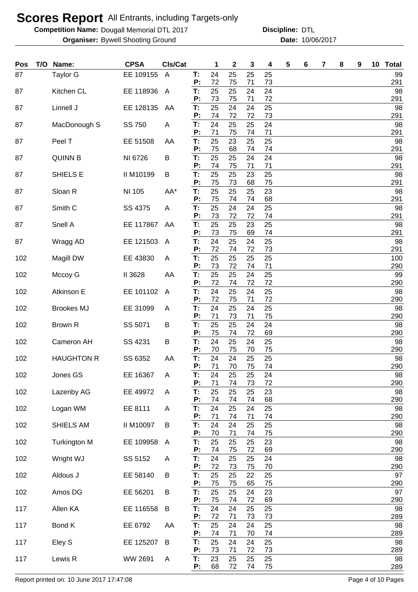**Competition Name: Dougall Memorial DTL 2017 https://www.powerflamericalCommunity Discipline: DTL** 

**Organiser:** Bywell Shooting Ground **10/06/2017 Date:** 10/06/2017 **Discipline:**

| Pos | T/O Name:           | <b>CPSA</b> | CIs/Cat        |          | 1        | $\mathbf 2$ | 3        | 4        | 5 | 6 | 7 | 8 | 9 | 10 Total         |
|-----|---------------------|-------------|----------------|----------|----------|-------------|----------|----------|---|---|---|---|---|------------------|
| 87  | <b>Taylor G</b>     | EE 109155   | $\overline{A}$ | T:<br>P: | 24<br>72 | 25<br>75    | 25<br>71 | 25<br>73 |   |   |   |   |   | 99<br>291        |
| 87  | Kitchen CL          | EE 118936   | $\mathsf{A}$   | T:       | 25       | 25          | 24       | 24       |   |   |   |   |   | 98               |
| 87  | Linnell J           | EE 128135   | AA             | P:<br>T: | 73<br>25 | 75<br>24    | 71<br>24 | 72<br>25 |   |   |   |   |   | 291<br>98        |
| 87  | MacDonough S        | SS 750      | A              | P:<br>T: | 74<br>24 | 72<br>25    | 72<br>25 | 73<br>24 |   |   |   |   |   | 291<br>98        |
|     |                     |             |                | P:       | 71       | 75          | 74       | 71       |   |   |   |   |   | 291              |
| 87  | Peel T              | EE 51508    | AA             | T:<br>P: | 25<br>75 | 23<br>68    | 25<br>74 | 25<br>74 |   |   |   |   |   | 98<br>291        |
| 87  | <b>QUINN B</b>      | NI 6726     | B              | T:<br>P: | 25<br>74 | 25<br>75    | 24<br>71 | 24<br>71 |   |   |   |   |   | 98               |
| 87  | SHIELS E            | II M10199   | B              | T:<br>P: | 25<br>75 | 25<br>73    | 23<br>68 | 25<br>75 |   |   |   |   |   | 291<br>98<br>291 |
| 87  | Sloan R             | NI 105      | AA*            | T:       | 25       | 25          | 25       | 23       |   |   |   |   |   | 98               |
| 87  | Smith <sub>C</sub>  | SS 4375     | A              | P:<br>T: | 75<br>25 | 74<br>24    | 74<br>24 | 68<br>25 |   |   |   |   |   | 291<br>98        |
| 87  | Snell A             | EE 117867   | AA             | P:<br>T: | 73<br>25 | 72<br>25    | 72<br>23 | 74<br>25 |   |   |   |   |   | 291<br>98        |
|     |                     |             |                | P:       | 73       | 75          | 69       | 74       |   |   |   |   |   | 291              |
| 87  | Wragg AD            | EE 121503   | A              | T:<br>P: | 24<br>72 | 25<br>74    | 24<br>72 | 25<br>73 |   |   |   |   |   | 98<br>291        |
| 102 | Magill DW           | EE 43830    | A              | T:       | 25<br>73 | 25<br>72    | 25<br>74 | 25<br>71 |   |   |   |   |   | 100              |
| 102 | Mccoy G             | II 3628     | AA             | P:<br>T: | 25       | 25          | 24       | 25       |   |   |   |   |   | 290<br>99        |
| 102 | Atkinson E          | EE 101102   | A              | P:<br>T: | 72<br>24 | 74<br>25    | 72<br>24 | 72<br>25 |   |   |   |   |   | 290<br>98        |
|     |                     |             |                | P:       | 72       | 75          | 71       | 72       |   |   |   |   |   | 290              |
| 102 | <b>Brookes MJ</b>   | EE 31099    | A              | T:<br>P: | 24<br>71 | 25<br>73    | 24<br>71 | 25<br>75 |   |   |   |   |   | 98<br>290        |
| 102 | Brown R             | SS 5071     | B              | T:<br>P: | 25<br>75 | 25<br>74    | 24<br>72 | 24<br>69 |   |   |   |   |   | 98<br>290        |
| 102 | Cameron AH          | SS 4231     | B              | T:       | 24       | 25          | 24       | 25       |   |   |   |   |   | 98               |
| 102 | <b>HAUGHTON R</b>   | SS 6352     | AA             | P:<br>T: | 70<br>24 | 75<br>24    | 70<br>25 | 75<br>25 |   |   |   |   |   | 290<br>98        |
| 102 | Jones GS            | EE 16367    | A              | P:<br>Т: | 71<br>24 | 70<br>25    | 75<br>25 | 74<br>24 |   |   |   |   |   | 290<br>98        |
|     |                     |             |                | P:       | 71       | 74          | 73       | 72       |   |   |   |   |   | 290              |
| 102 | Lazenby AG          | EE 49972    | A              | T:<br>P: | 25<br>74 | 25<br>74    | 25<br>74 | 23<br>68 |   |   |   |   |   | 98<br>290        |
| 102 | Logan WM            | EE 8111     | A              | T:<br>P: | 24<br>71 | 25<br>74    | 24<br>71 | 25<br>74 |   |   |   |   |   | 98<br>290        |
| 102 | SHIELS AM           | II M10097   | B              | T:       | 24       | 24          | 25       | 25       |   |   |   |   |   | 98               |
| 102 | <b>Turkington M</b> | EE 109958   | A              | P:<br>T: | 70<br>25 | 71<br>25    | 74<br>25 | 75<br>23 |   |   |   |   |   | 290<br>98        |
|     |                     |             |                | P:<br>T: | 74<br>24 | 75          | 72       | 69       |   |   |   |   |   | 290              |
| 102 | Wright WJ           | SS 5152     | A              | P:       | 72       | 25<br>73    | 25<br>75 | 24<br>70 |   |   |   |   |   | 98<br>290        |
| 102 | Aldous J            | EE 58140    | B              | T:<br>P: | 25<br>75 | 25<br>75    | 22<br>65 | 25<br>75 |   |   |   |   |   | 97<br>290        |
| 102 | Amos DG             | EE 56201    | B              | T:<br>P: | 25       | 25<br>74    | 24       | 23       |   |   |   |   |   | 97               |
| 117 | Allen KA            | EE 116558   | B              | T:       | 75<br>24 | 24          | 72<br>25 | 69<br>25 |   |   |   |   |   | 290<br>98        |
| 117 | Bond K              | EE 6792     | AA             | P:<br>T: | 72<br>25 | 71<br>24    | 73<br>24 | 73<br>25 |   |   |   |   |   | 289<br>98        |
|     |                     |             |                | P:       | 74       | 71          | 70       | 74       |   |   |   |   |   | 289              |
| 117 | Eley S              | EE 125207   | B              | T:<br>P: | 25<br>73 | 24<br>71    | 24<br>72 | 25<br>73 |   |   |   |   |   | 98<br>289        |
| 117 | Lewis R             | WW 2691     | A              | T:<br>P: | 23<br>68 | 25<br>72    | 25<br>74 | 25<br>75 |   |   |   |   |   | 98<br>289        |

Report printed on: 10 June 2017 17:47:08 Page 4 of 10 Pages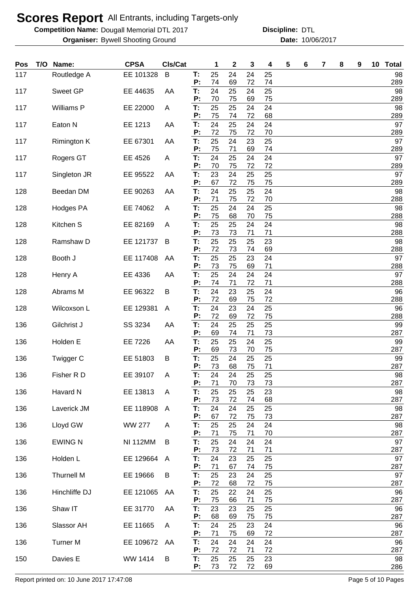**Competition Name: Dougall Memorial DTL 2017 https://www.powerflamericalCommunity Discipline: DTL** 

**Organiser:** Bywell Shooting Ground **10/06/2017 Date:** 10/06/2017 **Discipline:**

| Pos | T/O | Name:             | <b>CPSA</b>     | CIs/Cat      |          | 1        | $\mathbf 2$ | 3        | 4        | 5 | 6 | 7 | 8 | 9 | 10 <sub>1</sub> | <b>Total</b> |
|-----|-----|-------------------|-----------------|--------------|----------|----------|-------------|----------|----------|---|---|---|---|---|-----------------|--------------|
| 117 |     | Routledge A       | EE 101328       | B            | T.<br>P: | 25<br>74 | 24<br>69    | 24<br>72 | 25<br>74 |   |   |   |   |   |                 | 98<br>289    |
| 117 |     | Sweet GP          | EE 44635        | AA           | T:       | 24       | 25          | 24       | 25       |   |   |   |   |   |                 | 98           |
| 117 |     | Williams P        | EE 22000        | A            | Ρ:<br>T: | 70<br>25 | 75<br>25    | 69<br>24 | 75<br>24 |   |   |   |   |   |                 | 289<br>98    |
| 117 |     | Eaton N           | EE 1213         | AA           | P:<br>T: | 75<br>24 | 74<br>25    | 72<br>24 | 68<br>24 |   |   |   |   |   |                 | 289<br>97    |
|     |     |                   |                 |              | P:       | 72       | 75          | 72       | 70       |   |   |   |   |   |                 | 289          |
| 117 |     | Rimington K       | EE 67301        | AA           | T:<br>Ρ: | 25<br>75 | 24<br>71    | 23<br>69 | 25<br>74 |   |   |   |   |   |                 | 97<br>289    |
| 117 |     | Rogers GT         | EE 4526         | Α            | T:<br>P: | 24<br>70 | 25<br>75    | 24<br>72 | 24<br>72 |   |   |   |   |   |                 | 97<br>289    |
| 117 |     | Singleton JR      | EE 95522        | AA           | T:       | 23       | 24          | 25       | 25       |   |   |   |   |   |                 | 97           |
| 128 |     | Beedan DM         | EE 90263        | AA           | P:<br>T: | 67<br>24 | 72<br>25    | 75<br>25 | 75<br>24 |   |   |   |   |   |                 | 289<br>98    |
|     |     |                   |                 |              | P:       | 71       | 75          | 72       | 70       |   |   |   |   |   |                 | 288          |
| 128 |     | Hodges PA         | EE 74062        | Α            | T:<br>P: | 25<br>75 | 24<br>68    | 24<br>70 | 25<br>75 |   |   |   |   |   |                 | 98<br>288    |
| 128 |     | Kitchen S         | EE 82169        | A            | T:<br>P: | 25<br>73 | 25<br>73    | 24<br>71 | 24<br>71 |   |   |   |   |   |                 | 98<br>288    |
| 128 |     | Ramshaw D         | EE 121737       | B            | T:       | 25       | 25          | 25       | 23       |   |   |   |   |   |                 | 98           |
| 128 |     | Booth J           | EE 117408       | AA           | P:<br>T: | 72<br>25 | 73<br>25    | 74<br>23 | 69<br>24 |   |   |   |   |   |                 | 288<br>97    |
|     |     |                   |                 |              | P:       | 73       | 75          | 69       | 71       |   |   |   |   |   |                 | 288          |
| 128 |     | Henry A           | EE 4336         | AA           | T:<br>P: | 25<br>74 | 24<br>71    | 24<br>72 | 24<br>71 |   |   |   |   |   |                 | 97<br>288    |
| 128 |     | Abrams M          | EE 96322        | B            | T:<br>Ρ: | 24<br>72 | 23<br>69    | 25<br>75 | 24<br>72 |   |   |   |   |   |                 | 96<br>288    |
| 128 |     | Wilcoxson L       | EE 129381       | A            | T:       | 24       | 23          | 24       | 25       |   |   |   |   |   |                 | 96           |
| 136 |     | Gilchrist J       | SS 3234         | AA           | P:<br>T: | 72<br>24 | 69<br>25    | 72<br>25 | 75<br>25 |   |   |   |   |   |                 | 288<br>99    |
|     |     |                   |                 |              | Ρ:       | 69       | 74          | 71       | 73       |   |   |   |   |   |                 | 287          |
| 136 |     | Holden E          | EE 7226         | AA           | T:<br>P: | 25<br>69 | 25<br>73    | 24<br>70 | 25<br>75 |   |   |   |   |   |                 | 99<br>287    |
| 136 |     | Twigger C         | EE 51803        | B            | T:<br>P: | 25<br>73 | 24<br>68    | 25<br>75 | 25<br>71 |   |   |   |   |   |                 | 99<br>287    |
| 136 |     | Fisher R D        | EE 39107        | A            | Т.       | 24       | 24          | 25       | 25       |   |   |   |   |   |                 | 98           |
| 136 |     | Havard N          | EE 13813        | A            | P:<br>T: | 71<br>25 | 70<br>25    | 73<br>25 | 73<br>23 |   |   |   |   |   |                 | 287<br>98    |
|     |     |                   |                 |              | Ρ.       | 73       | 72          | 74       | 68       |   |   |   |   |   |                 | 287          |
| 136 |     | Laverick JM       | EE 118908       | $\mathsf{A}$ | T:<br>Ρ: | 24<br>67 | 24<br>72    | 25<br>75 | 25<br>73 |   |   |   |   |   |                 | 98<br>287    |
| 136 |     | Lloyd GW          | <b>WW 277</b>   | A            | T:<br>Ρ. | 25<br>71 | 25<br>75    | 24<br>71 | 24<br>70 |   |   |   |   |   |                 | 98<br>287    |
| 136 |     | <b>EWING N</b>    | <b>NI 112MM</b> | B            | T:       | 25       | 24          | 24       | 24       |   |   |   |   |   |                 | 97           |
| 136 |     | Holden L          | EE 129664       | $\mathsf{A}$ | Ρ:<br>T: | 73<br>24 | 72<br>23    | 71<br>25 | 71<br>25 |   |   |   |   |   |                 | 287<br>97    |
|     |     |                   |                 |              | P:       | 71       | 67          | 74       | 75       |   |   |   |   |   |                 | 287          |
| 136 |     | <b>Thurnell M</b> | EE 19666        | B            | T:<br>P: | 25<br>72 | 23<br>68    | 24<br>72 | 25<br>75 |   |   |   |   |   |                 | 97<br>287    |
| 136 |     | Hinchliffe DJ     | EE 121065       | AA           | T:<br>P: | 25<br>75 | 22<br>66    | 24<br>71 | 25<br>75 |   |   |   |   |   |                 | 96<br>287    |
| 136 |     | Shaw IT           | EE 31770        | AA           | T:       | 23       | 23          | 25       | 25       |   |   |   |   |   |                 | 96           |
| 136 |     | Slassor AH        | EE 11665        | A            | P:<br>T: | 68<br>24 | 69<br>25    | 75<br>23 | 75<br>24 |   |   |   |   |   |                 | 287<br>96    |
|     |     |                   |                 |              | P:       | 71       | 75          | 69       | 72       |   |   |   |   |   |                 | 287          |
| 136 |     | <b>Turner M</b>   | EE 109672       | AA           | T:<br>P: | 24<br>72 | 24<br>72    | 24<br>71 | 24<br>72 |   |   |   |   |   |                 | 96<br>287    |
| 150 |     | Davies E          | WW 1414         | B            | T:<br>P: | 25<br>73 | 25<br>72    | 25<br>72 | 23<br>69 |   |   |   |   |   |                 | 98<br>286    |

Report printed on: 10 June 2017 17:47:08 Page 5 of 10 Pages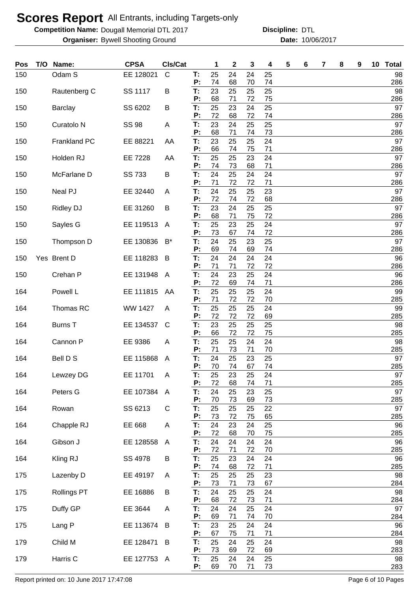**Competition Name: Dougall Memorial DTL 2017 https://www.powerflamericalCommunity Discipline: DTL** 

**Organiser:** Bywell Shooting Ground **10/06/2017 Date:** 10/06/2017 **Discipline:**

| Pos | T/O Name:             | <b>CPSA</b>    | CIs/Cat        |          | 1        | $\mathbf{2}$ | 3        | 4        | 5 | 6 | 7 | 8 | 9 | 10 <sup>1</sup> | <b>Total</b> |
|-----|-----------------------|----------------|----------------|----------|----------|--------------|----------|----------|---|---|---|---|---|-----------------|--------------|
| 150 | Odam S                | EE 128021      | $\mathsf{C}$   | Т.<br>P: | 25<br>74 | 24<br>68     | 24<br>70 | 25<br>74 |   |   |   |   |   |                 | 98<br>286    |
| 150 | Rautenberg C          | SS 1117        | B              | T:       | 23       | 25           | 25       | 25       |   |   |   |   |   |                 | 98           |
| 150 | Barclay               | SS 6202        | B              | P:<br>T: | 68<br>25 | 71<br>23     | 72<br>24 | 75<br>25 |   |   |   |   |   |                 | 286<br>97    |
| 150 | Curatolo <sub>N</sub> | <b>SS 98</b>   | A              | P:<br>T. | 72<br>23 | 68<br>24     | 72<br>25 | 74<br>25 |   |   |   |   |   |                 | 286<br>97    |
|     |                       |                |                | P:       | 68       | 71           | 74       | 73       |   |   |   |   |   |                 | 286          |
| 150 | <b>Frankland PC</b>   | EE 88221       | AA             | T:<br>P: | 23<br>66 | 25<br>74     | 25<br>75 | 24<br>71 |   |   |   |   |   |                 | 97<br>286    |
| 150 | Holden RJ             | EE 7228        | AA             | Т:       | 25       | 25           | 23       | 24       |   |   |   |   |   |                 | 97           |
| 150 | McFarlane D           | SS 733         | B              | P:<br>T: | 74<br>24 | 73<br>25     | 68<br>24 | 71<br>24 |   |   |   |   |   |                 | 286<br>97    |
| 150 | Neal PJ               | EE 32440       | Α              | P:<br>T: | 71<br>24 | 72<br>25     | 72<br>25 | 71<br>23 |   |   |   |   |   |                 | 286<br>97    |
|     |                       |                |                | P:       | 72       | 74           | 72       | 68       |   |   |   |   |   |                 | 286          |
| 150 | <b>Ridley DJ</b>      | EE 31260       | B              | T:<br>P: | 23<br>68 | 24<br>71     | 25<br>75 | 25<br>72 |   |   |   |   |   |                 | 97<br>286    |
| 150 | Sayles G              | EE 119513      | A              | T:<br>P: | 25<br>73 | 23<br>67     | 25<br>74 | 24<br>72 |   |   |   |   |   |                 | 97<br>286    |
| 150 | Thompson D            | EE 130836      | B*             | T:       | 24       | 25           | 23       | 25       |   |   |   |   |   |                 | 97           |
| 150 | Yes Brent D           | EE 118283      | B              | P:<br>T: | 69<br>24 | 74<br>24     | 69<br>24 | 74<br>24 |   |   |   |   |   |                 | 286<br>96    |
|     |                       |                |                | P:       | 71       | 71           | 72       | 72       |   |   |   |   |   |                 | 286          |
| 150 | Crehan P              | EE 131948      | A              | T:<br>P: | 24<br>72 | 23<br>69     | 25<br>74 | 24<br>71 |   |   |   |   |   |                 | 96<br>286    |
| 164 | Powell L              | EE 111815      | AA             | T:<br>P: | 25<br>71 | 25<br>72     | 25<br>72 | 24<br>70 |   |   |   |   |   |                 | 99<br>285    |
| 164 | Thomas RC             | <b>WW 1427</b> | A              | T:       | 25       | 25           | 25       | 24       |   |   |   |   |   |                 | 99           |
| 164 | <b>Burns T</b>        | EE 134537      | C              | P:<br>T: | 72<br>23 | 72<br>25     | 72<br>25 | 69<br>25 |   |   |   |   |   |                 | 285<br>98    |
|     |                       |                |                | P:       | 66       | 72           | 72       | 75       |   |   |   |   |   |                 | 285          |
| 164 | Cannon P              | EE 9386        | A              | T:<br>P: | 25<br>71 | 25<br>73     | 24<br>71 | 24<br>70 |   |   |   |   |   |                 | 98<br>285    |
| 164 | Bell D S              | EE 115868      | A              | T:<br>P: | 24<br>70 | 25<br>74     | 23<br>67 | 25<br>74 |   |   |   |   |   |                 | 97<br>285    |
| 164 | Lewzey DG             | EE 11701       | A              | T:       | 25       | 23           | 25       | 24       |   |   |   |   |   |                 | 97           |
| 164 | Peters G              | EE 107384      | $\overline{A}$ | P:<br>T: | 72<br>24 | 68<br>25     | 74<br>23 | 71<br>25 |   |   |   |   |   |                 | 285<br>97    |
|     |                       | SS 6213        |                | P:<br>T. | 70<br>25 | 73           | 69       | 73       |   |   |   |   |   |                 | 285<br>97    |
| 164 | Rowan                 |                | C              | P:       | 73       | 25<br>72     | 25<br>75 | 22<br>65 |   |   |   |   |   |                 | 285          |
| 164 | Chapple RJ            | EE 668         | A              | T:<br>P: | 24<br>72 | 23<br>68     | 24<br>70 | 25<br>75 |   |   |   |   |   |                 | 96<br>285    |
| 164 | Gibson J              | EE 128558      | $\mathsf{A}$   | T:       | 24       | 24           | 24       | 24       |   |   |   |   |   |                 | 96           |
| 164 | Kling RJ              | SS 4978        | B              | P:<br>T. | 72<br>25 | 71<br>23     | 72<br>24 | 70<br>24 |   |   |   |   |   |                 | 285<br>96    |
| 175 | Lazenby D             | EE 49197       | A              | P:<br>T: | 74<br>25 | 68<br>25     | 72<br>25 | 71<br>23 |   |   |   |   |   |                 | 285<br>98    |
|     |                       |                |                | P:       | 73       | 71           | 73       | 67       |   |   |   |   |   |                 | 284          |
| 175 | <b>Rollings PT</b>    | EE 16886       | B              | T.<br>P: | 24<br>68 | 25<br>72     | 25<br>73 | 24<br>71 |   |   |   |   |   |                 | 98<br>284    |
| 175 | Duffy GP              | EE 3644        | Α              | T:<br>P: | 24<br>69 | 24           | 25       | 24       |   |   |   |   |   |                 | 97           |
| 175 | Lang P                | EE 113674      | B              | T:       | 23       | 71<br>25     | 74<br>24 | 70<br>24 |   |   |   |   |   |                 | 284<br>96    |
| 179 | Child M               | EE 128471      | B              | P:<br>T: | 67<br>25 | 75<br>24     | 71<br>25 | 71<br>24 |   |   |   |   |   |                 | 284<br>98    |
|     |                       |                |                | P:       | 73       | 69           | 72       | 69       |   |   |   |   |   |                 | 283          |
| 179 | Harris C              | EE 127753 A    |                | T:<br>P: | 25<br>69 | 24<br>70     | 24<br>71 | 25<br>73 |   |   |   |   |   |                 | 98<br>283    |

Report printed on: 10 June 2017 17:47:08 Page 6 of 10 Pages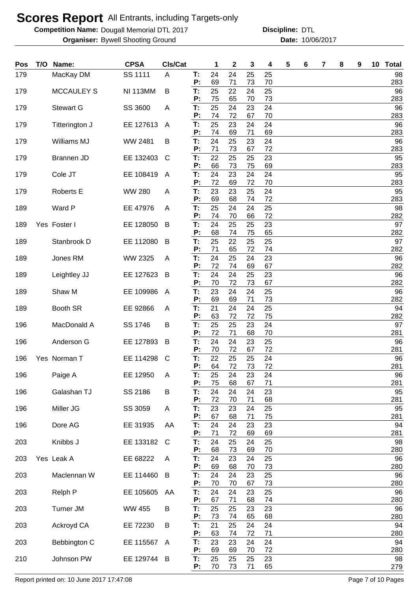**Competition Name: Dougall Memorial DTL 2017 https://www.powerflamericalCommunity Discipline: DTL** 

**Organiser:** Bywell Shooting Ground **10/06/2017 Date:** 10/06/2017 **Discipline:**

| Pos | T/O Name:         | <b>CPSA</b>     | Cls/Cat |          | 1        | $\mathbf 2$ | 3        | 4        | 5 | 6 | 7 | 8 | 9 | 10 Total  |
|-----|-------------------|-----------------|---------|----------|----------|-------------|----------|----------|---|---|---|---|---|-----------|
| 179 | MacKay DM         | SS 1111         | A       | Т:<br>P: | 24<br>69 | 24<br>71    | 25<br>73 | 25<br>70 |   |   |   |   |   | 98<br>283 |
| 179 | <b>MCCAULEY S</b> | <b>NI 113MM</b> | B       | T:       | 25       | 22          | 24       | 25       |   |   |   |   |   | 96        |
| 179 | <b>Stewart G</b>  | SS 3600         | A       | P:<br>T: | 75<br>25 | 65<br>24    | 70<br>23 | 73<br>24 |   |   |   |   |   | 283<br>96 |
|     |                   |                 |         | P:       | 74<br>25 | 72<br>23    | 67       | 70<br>24 |   |   |   |   |   | 283<br>96 |
| 179 | Titterington J    | EE 127613       | A       | T:<br>P: | 74       | 69          | 24<br>71 | 69       |   |   |   |   |   | 283       |
| 179 | Williams MJ       | WW 2481         | В       | T:<br>P: | 24<br>71 | 25<br>73    | 23<br>67 | 24<br>72 |   |   |   |   |   | 96<br>283 |
| 179 | Brannen JD        | EE 132403       | C       | T:<br>P: | 22<br>66 | 25<br>73    | 25<br>75 | 23<br>69 |   |   |   |   |   | 95<br>283 |
| 179 | Cole JT           | EE 108419       | A       | T:       | 24<br>72 | 23          | 24<br>72 | 24       |   |   |   |   |   | 95        |
| 179 | <b>Roberts E</b>  | <b>WW 280</b>   | A       | Ρ.<br>T: | 23       | 69<br>23    | 25       | 70<br>24 |   |   |   |   |   | 283<br>95 |
| 189 | Ward P            | EE 47976        | A       | P:<br>T: | 69<br>25 | 68<br>24    | 74<br>24 | 72<br>25 |   |   |   |   |   | 283<br>98 |
| 189 | Yes Foster I      | EE 128050       | B       | P:<br>T: | 74<br>24 | 70<br>25    | 66<br>25 | 72<br>23 |   |   |   |   |   | 282<br>97 |
| 189 | Stanbrook D       | EE 112080       | B       | P:<br>T: | 68<br>25 | 74<br>22    | 75<br>25 | 65<br>25 |   |   |   |   |   | 282<br>97 |
|     |                   |                 |         | P:       | 71       | 65          | 72       | 74       |   |   |   |   |   | 282       |
| 189 | Jones RM          | WW 2325         | A       | T:<br>P: | 24<br>72 | 25<br>74    | 24<br>69 | 23<br>67 |   |   |   |   |   | 96<br>282 |
| 189 | Leightley JJ      | EE 127623       | B       | T:<br>P: | 24<br>70 | 24<br>72    | 25<br>73 | 23<br>67 |   |   |   |   |   | 96<br>282 |
| 189 | Shaw M            | EE 109986       | A       | T:       | 23       | 24          | 24       | 25       |   |   |   |   |   | 96        |
| 189 | Booth SR          | EE 92866        | A       | P:<br>T: | 69<br>21 | 69<br>24    | 71<br>24 | 73<br>25 |   |   |   |   |   | 282<br>94 |
| 196 | MacDonald A       | SS 1746         | В       | P:<br>T: | 63<br>25 | 72<br>25    | 72<br>23 | 75<br>24 |   |   |   |   |   | 282<br>97 |
| 196 | Anderson G        | EE 127893       | B       | P:<br>T: | 72<br>24 | 71<br>24    | 68<br>23 | 70<br>25 |   |   |   |   |   | 281<br>96 |
| 196 | Yes Norman T      | EE 114298       | C       | P:<br>Т: | 70<br>22 | 72<br>25    | 67<br>25 | 72<br>24 |   |   |   |   |   | 281<br>96 |
| 196 | Paige A           | EE 12950        | A       | P:<br>Т: | 64<br>25 | 72<br>24    | 73<br>23 | 72<br>24 |   |   |   |   |   | 281<br>96 |
|     |                   |                 |         | P:       | 75       | 68          | 67       | 71       |   |   |   |   |   | 281       |
| 196 | Galashan TJ       | SS 2186         | B       | T:<br>P: | 24<br>72 | 24<br>70    | 24<br>71 | 23<br>68 |   |   |   |   |   | 95<br>281 |
| 196 | Miller JG         | SS 3059         | A       | T:<br>P: | 23<br>67 | 23<br>68    | 24<br>71 | 25<br>75 |   |   |   |   |   | 95<br>281 |
| 196 | Dore AG           | EE 31935        | AA      | T:       | 24       | 24          | 23       | 23       |   |   |   |   |   | 94        |
| 203 | Knibbs J          | EE 133182       | C       | P:<br>T: | 71<br>24 | 72<br>25    | 69<br>24 | 69<br>25 |   |   |   |   |   | 281<br>98 |
| 203 | Yes Leak A        | EE 68222        | A       | P:<br>T: | 68<br>24 | 73<br>23    | 69<br>24 | 70<br>25 |   |   |   |   |   | 280<br>96 |
| 203 | Maclennan W       | EE 114460       | B       | P:<br>T: | 69<br>24 | 68<br>24    | 70<br>23 | 73<br>25 |   |   |   |   |   | 280<br>96 |
| 203 | Relph P           | EE 105605       | AA      | P:<br>T: | 70<br>24 | 70<br>24    | 67<br>23 | 73<br>25 |   |   |   |   |   | 280<br>96 |
| 203 | <b>Turner JM</b>  | <b>WW 455</b>   | В       | P:<br>T: | 67<br>25 | 71<br>25    | 68<br>23 | 74<br>23 |   |   |   |   |   | 280<br>96 |
| 203 | Ackroyd CA        |                 |         | P:<br>T: | 73<br>21 | 74<br>25    | 65<br>24 | 68<br>24 |   |   |   |   |   | 280<br>94 |
|     |                   | EE 72230        | B       | P:       | 63       | 74          | 72       | 71       |   |   |   |   |   | 280       |
| 203 | Bebbington C      | EE 115567       | A       | T:<br>P: | 23<br>69 | 23<br>69    | 24<br>70 | 24<br>72 |   |   |   |   |   | 94<br>280 |
| 210 | Johnson PW        | EE 129744 B     |         | T:       | 25       | 25          | 25       | 23       |   |   |   |   |   | 98        |
|     |                   |                 |         | P:       | 70       | 73          | 71       | 65       |   |   |   |   |   | 279       |

Report printed on: 10 June 2017 17:47:08 Page 7 of 10 Pages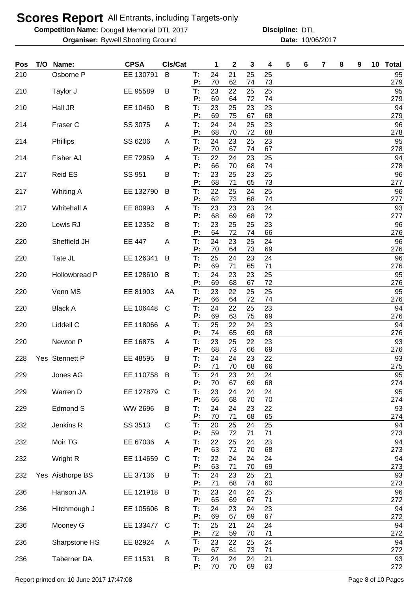**Competition Name: Dougall Memorial DTL 2017 https://www.powerflamericalCommunity Discipline: DTL** 

**Organiser:** Bywell Shooting Ground **10/06/2017 Date:** 10/06/2017 **Discipline:**

| Pos | T/O | Name:              | <b>CPSA</b>   | Cls/Cat |          | 1        | $\mathbf 2$ | 3        | 4        | 5 | 6 | 7 | 8 | 9 | 10 Total  |
|-----|-----|--------------------|---------------|---------|----------|----------|-------------|----------|----------|---|---|---|---|---|-----------|
| 210 |     | Osborne P          | EE 130791     | B       | T:<br>Ρ: | 24<br>70 | 21<br>62    | 25<br>74 | 25<br>73 |   |   |   |   |   | 95<br>279 |
| 210 |     | Taylor J           | EE 95589      | B       | T:       | 23       | 22          | 25       | 25       |   |   |   |   |   | 95        |
| 210 |     | Hall JR            | EE 10460      | В       | P:<br>T: | 69<br>23 | 64<br>25    | 72<br>23 | 74<br>23 |   |   |   |   |   | 279<br>94 |
|     |     |                    |               |         | P:       | 69       | 75          | 67       | 68       |   |   |   |   |   | 279       |
| 214 |     | Fraser C           | SS 3075       | A       | T:<br>P: | 24<br>68 | 24<br>70    | 25<br>72 | 23<br>68 |   |   |   |   |   | 96<br>278 |
| 214 |     | Phillips           | SS 6206       | Α       | T.<br>Ρ. | 24<br>70 | 23<br>67    | 25<br>74 | 23<br>67 |   |   |   |   |   | 95<br>278 |
| 214 |     | Fisher AJ          | EE 72959      | Α       | T.       | 22       | 24          | 23       | 25       |   |   |   |   |   | 94        |
| 217 |     | <b>Reid ES</b>     | SS 951        | B       | Ρ.<br>T. | 66<br>23 | 70<br>25    | 68<br>23 | 74<br>25 |   |   |   |   |   | 278<br>96 |
|     |     |                    |               |         | Ρ:<br>T. | 68<br>22 | 71          | 65       | 73       |   |   |   |   |   | 277<br>96 |
| 217 |     | <b>Whiting A</b>   | EE 132790     | B       | Ρ.       | 62       | 25<br>73    | 24<br>68 | 25<br>74 |   |   |   |   |   | 277       |
| 217 |     | <b>Whitehall A</b> | EE 80993      | A       | T.<br>Ρ. | 23<br>68 | 23<br>69    | 23<br>68 | 24<br>72 |   |   |   |   |   | 93<br>277 |
| 220 |     | Lewis RJ           | EE 12352      | В       | T:       | 23       | 25          | 25       | 23       |   |   |   |   |   | 96        |
| 220 |     | Sheffield JH       | <b>EE 447</b> | Α       | Р:<br>T: | 64<br>24 | 72<br>23    | 74<br>25 | 66<br>24 |   |   |   |   |   | 276<br>96 |
|     |     |                    |               |         | P:       | 70       | 64          | 73       | 69       |   |   |   |   |   | 276       |
| 220 |     | Tate JL            | EE 126341     | B       | T:<br>Ρ: | 25<br>69 | 24<br>71    | 23<br>65 | 24<br>71 |   |   |   |   |   | 96<br>276 |
| 220 |     | Hollowbread P      | EE 128610     | B       | Т:       | 24       | 23          | 23       | 25       |   |   |   |   |   | 95        |
| 220 |     | Venn MS            | EE 81903      | AA      | Ρ.<br>T: | 69<br>23 | 68<br>22    | 67<br>25 | 72<br>25 |   |   |   |   |   | 276<br>95 |
|     |     |                    |               |         | Ρ.       | 66       | 64          | 72       | 74       |   |   |   |   |   | 276       |
| 220 |     | <b>Black A</b>     | EE 106448     | C       | T:<br>P: | 24<br>69 | 22<br>63    | 25<br>75 | 23<br>69 |   |   |   |   |   | 94<br>276 |
| 220 |     | Liddell C          | EE 118066     | A       | T:       | 25       | 22          | 24       | 23       |   |   |   |   |   | 94        |
| 220 |     | Newton P           | EE 16875      | A       | P:<br>T: | 74<br>23 | 65<br>25    | 69<br>22 | 68<br>23 |   |   |   |   |   | 276<br>93 |
|     |     |                    |               |         | Ρ:       | 68       | 73          | 66       | 69       |   |   |   |   |   | 276       |
| 228 |     | Yes Stennett P     | EE 48595      | B       | T:<br>Ρ: | 24<br>71 | 24<br>70    | 23<br>68 | 22<br>66 |   |   |   |   |   | 93<br>275 |
| 229 |     | Jones AG           | EE 110758 B   |         | т:<br>P: | 24<br>70 | 23<br>67    | 24<br>69 | 24<br>68 |   |   |   |   |   | 95<br>274 |
| 229 |     | Warren D           | EE 127879     | C       | T:       | 23       | 24          | 24       | 24       |   |   |   |   |   | 95        |
| 229 |     | Edmond S           | WW 2696       | B       | P:<br>T. | 66<br>24 | 68<br>24    | 70<br>23 | 70<br>22 |   |   |   |   |   | 274<br>93 |
|     |     |                    |               |         | Ρ.       | 70       | 71          | 68       | 65       |   |   |   |   |   | 274       |
| 232 |     | Jenkins R          | SS 3513       | C       | T:<br>P: | 20<br>59 | 25<br>72    | 24<br>71 | 25<br>71 |   |   |   |   |   | 94<br>273 |
| 232 |     | Moir TG            | EE 67036      | A       | Т:<br>P: | 22<br>63 | 25<br>72    | 24       | 23       |   |   |   |   |   | 94        |
| 232 |     | Wright R           | EE 114659     | C       | T:       | 22       | 24          | 70<br>24 | 68<br>24 |   |   |   |   |   | 273<br>94 |
| 232 |     | Yes Aisthorpe BS   | EE 37136      | В       | Ρ.<br>T: | 63<br>24 | 71<br>23    | 70<br>25 | 69<br>21 |   |   |   |   |   | 273<br>93 |
|     |     |                    |               |         | Ρ.       | 71       | 68          | 74       | 60       |   |   |   |   |   | 273       |
| 236 |     | Hanson JA          | EE 121918     | B       | T:<br>Ρ: | 23<br>65 | 24<br>69    | 24<br>67 | 25<br>71 |   |   |   |   |   | 96<br>272 |
| 236 |     | Hitchmough J       | EE 105606     | B       | Т:       | 24<br>69 | 23<br>67    | 24       | 23       |   |   |   |   |   | 94<br>272 |
| 236 |     | Mooney G           | EE 133477     | C       | Ρ:<br>T: | 25       | 21          | 69<br>24 | 67<br>24 |   |   |   |   |   | 94        |
| 236 |     | Sharpstone HS      | EE 82924      | A       | P:<br>T: | 72<br>23 | 59<br>22    | 70<br>25 | 71<br>24 |   |   |   |   |   | 272<br>94 |
|     |     |                    |               |         | P:       | 67       | 61          | 73       | 71       |   |   |   |   |   | 272       |
| 236 |     | Taberner DA        | EE 11531      | В       | T:<br>P: | 24<br>70 | 24<br>70    | 24<br>69 | 21<br>63 |   |   |   |   |   | 93<br>272 |

Report printed on: 10 June 2017 17:47:08 example 3 of 10 Pages Page 8 of 10 Pages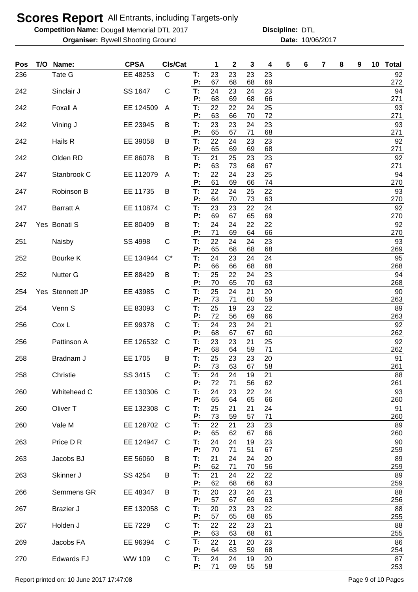**Competition Name: Dougall Memorial DTL 2017 https://www.powerflamericalCommunity Discipline: DTL** 

**Organiser:** Bywell Shooting Ground **10/06/2017 Date:** 10/06/2017 **Discipline:**

| <b>Pos</b> | T/O | Name:               | <b>CPSA</b> | CIs/Cat      |          | 1        | $\mathbf{2}$ | 3        | 4        | 5 | 6 | 7 | 8 | 9 | 10 Total  |
|------------|-----|---------------------|-------------|--------------|----------|----------|--------------|----------|----------|---|---|---|---|---|-----------|
| 236        |     | Tate G              | EE 48253    | $\mathsf{C}$ | Т:<br>P: | 23<br>67 | 23<br>68     | 23<br>68 | 23<br>69 |   |   |   |   |   | 92<br>272 |
| 242        |     | Sinclair J          | SS 1647     | С            | T:       | 24       | 23           | 24       | 23       |   |   |   |   |   | 94        |
| 242        |     | Foxall A            | EE 124509   | A            | P:<br>T: | 68<br>22 | 69<br>22     | 68<br>24 | 66<br>25 |   |   |   |   |   | 271<br>93 |
|            |     |                     |             |              | P:       | 63       | 66           | 70       | 72       |   |   |   |   |   | 271       |
| 242        |     | Vining J            | EE 23945    | B            | T:<br>P: | 23<br>65 | 23<br>67     | 24<br>71 | 23<br>68 |   |   |   |   |   | 93<br>271 |
| 242        |     | Hails R             | EE 39058    | B            | T:<br>P: | 22<br>65 | 24<br>69     | 23<br>69 | 23<br>68 |   |   |   |   |   | 92<br>271 |
| 242        |     | Olden RD            | EE 86078    | B            | T:       | 21       | 25           | 23       | 23       |   |   |   |   |   | 92        |
| 247        |     | Stanbrook C         | EE 112079   | A            | P:<br>T: | 63<br>22 | 73<br>24     | 68<br>23 | 67<br>25 |   |   |   |   |   | 271<br>94 |
|            |     |                     |             |              | P:       | 61       | 69           | 66       | 74       |   |   |   |   |   | 270       |
| 247        |     | Robinson B          | EE 11735    | B            | T:<br>P: | 22<br>64 | 24<br>70     | 25<br>73 | 22<br>63 |   |   |   |   |   | 93<br>270 |
| 247        |     | <b>Barratt A</b>    | EE 110874   | C            | T:<br>P: | 23<br>69 | 23<br>67     | 22<br>65 | 24<br>69 |   |   |   |   |   | 92<br>270 |
| 247        |     | Yes Bonati S        | EE 80409    | B            | T:       | 24       | 24           | 22       | 22       |   |   |   |   |   | 92        |
| 251        |     | Naisby              | SS 4998     | С            | P:<br>T: | 71<br>22 | 69<br>24     | 64<br>24 | 66<br>23 |   |   |   |   |   | 270<br>93 |
| 252        |     | Bourke K            | EE 134944   | $C^*$        | P:<br>T: | 65<br>24 | 68<br>23     | 68<br>24 | 68<br>24 |   |   |   |   |   | 269<br>95 |
|            |     |                     |             |              | P:       | 66       | 66           | 68       | 68       |   |   |   |   |   | 268       |
| 252        |     | <b>Nutter G</b>     | EE 88429    | B            | T:<br>P: | 25<br>70 | 22<br>65     | 24<br>70 | 23<br>63 |   |   |   |   |   | 94<br>268 |
| 254        |     | Yes Stennett JP     | EE 43985    | C            | T:       | 25       | 24           | 21       | 20       |   |   |   |   |   | 90        |
| 254        |     | Venn <sub>S</sub>   | EE 83093    | С            | P:<br>T: | 73<br>25 | 71<br>19     | 60<br>23 | 59<br>22 |   |   |   |   |   | 263<br>89 |
| 256        |     | Cox L               | EE 99378    | С            | P:<br>T: | 72<br>24 | 56<br>23     | 69<br>24 | 66<br>21 |   |   |   |   |   | 263<br>92 |
|            |     |                     |             |              | P:       | 68       | 67           | 67       | 60       |   |   |   |   |   | 262       |
| 256        |     | Pattinson A         | EE 126532   | C            | T:<br>Р: | 23<br>68 | 23<br>64     | 21<br>59 | 25<br>71 |   |   |   |   |   | 92<br>262 |
| 258        |     | Bradnam J           | EE 1705     | В            | T:<br>P: | 25<br>73 | 23<br>63     | 23<br>67 | 20<br>58 |   |   |   |   |   | 91<br>261 |
| 258        |     | Christie            | SS 3415     | $\mathsf C$  | Т:       | 24       | 24           | 19       | 21       |   |   |   |   |   | 88        |
| 260        |     | Whitehead C         | EE 130306   | C            | P:<br>T: | 72<br>24 | 71<br>23     | 56<br>22 | 62<br>24 |   |   |   |   |   | 261<br>93 |
|            |     |                     |             |              | P:<br>Τ. | 65<br>25 | 64           | 65       | 66       |   |   |   |   |   | 260<br>91 |
| 260        |     | Oliver <sub>T</sub> | EE 132308   | C            | P:       | 73       | 21<br>59     | 21<br>57 | 24<br>71 |   |   |   |   |   | 260       |
| 260        |     | Vale M              | EE 128702   | C            | Τ.<br>P: | 22<br>65 | 21<br>62     | 23<br>67 | 23<br>66 |   |   |   |   |   | 89<br>260 |
| 263        |     | Price D R           | EE 124947   | C            | Т.       | 24       | 24           | 19       | 23       |   |   |   |   |   | 90        |
| 263        |     | Jacobs BJ           | EE 56060    | B            | P:<br>T: | 70<br>21 | 71<br>24     | 51<br>24 | 67<br>20 |   |   |   |   |   | 259<br>89 |
| 263        |     | Skinner J           | SS 4254     | Β            | P:<br>T: | 62<br>21 | 71<br>24     | 70<br>22 | 56<br>22 |   |   |   |   |   | 259<br>89 |
|            |     |                     |             |              | P:       | 62       | 68           | 66       | 63       |   |   |   |   |   | 259       |
| 266        |     | Semmens GR          | EE 48347    | B            | T:<br>P: | 20<br>57 | 23<br>67     | 24<br>69 | 21<br>63 |   |   |   |   |   | 88<br>256 |
| 267        |     | <b>Brazier J</b>    | EE 132058   | C            | T:       | 20       | 23           | 23       | 22       |   |   |   |   |   | 88        |
| 267        |     | Holden J            | EE 7229     | C            | P:<br>T: | 57<br>22 | 65<br>22     | 68<br>23 | 65<br>21 |   |   |   |   |   | 255<br>88 |
| 269        |     | Jacobs FA           | EE 96394    | C            | P:<br>T: | 63<br>22 | 63<br>21     | 68<br>20 | 61<br>23 |   |   |   |   |   | 255<br>86 |
|            |     |                     |             |              | Ρ.       | 64       | 63           | 59       | 68       |   |   |   |   |   | 254       |
| 270        |     | <b>Edwards FJ</b>   | WW 109      | C            | T:<br>P: | 24<br>71 | 24<br>69     | 19<br>55 | 20<br>58 |   |   |   |   |   | 87<br>253 |

Report printed on: 10 June 2017 17:47:08 Page 9 of 10 Pages